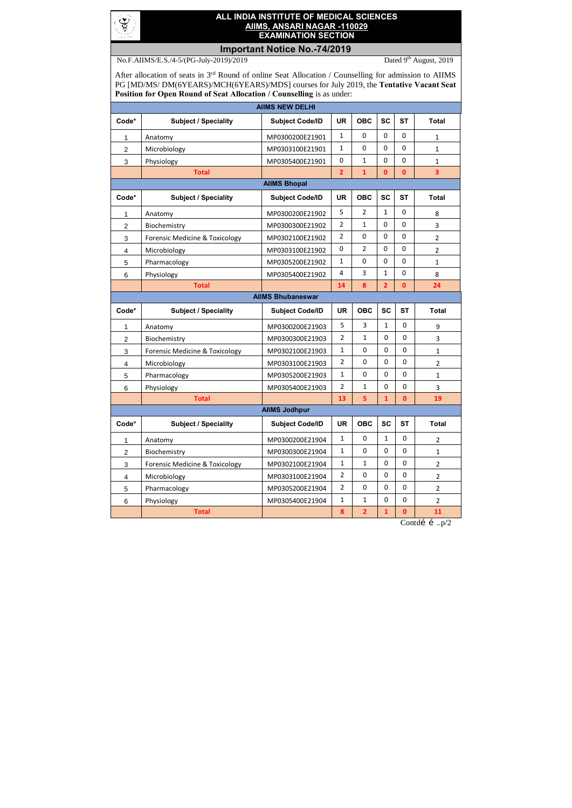

## **ALL INDIA INSTITUTE OF MEDICAL SCIENCES AIIMS, ANSARI NAGAR -110029 EXAMINATION SECTION**

## **Important Notice No.-74/2019**

No.F.AIIMS/E.S./4-5/(PG-July-2019)/2019 Dated 9<sup>th</sup> August, 2019

After allocation of seats in 3<sup>rd</sup> Round of online Seat Allocation / Counselling for admission to AIIMS PG [MD/MS/ DM(6YEARS)/MCH(6YEARS)/MDS] courses for July 2019, the **Tentative Vacant Seat Position for Open Round of Seat Allocation / Counselling** is as under:

| <b>AIIMS NEW DELHI</b>    |                                           |                          |                  |                  |                |              |                |  |  |
|---------------------------|-------------------------------------------|--------------------------|------------------|------------------|----------------|--------------|----------------|--|--|
| Code*                     | <b>Subject / Speciality</b>               | <b>Subject Code/ID</b>   | <b>UR</b>        | <b>OBC</b>       | <b>SC</b>      | <b>ST</b>    | <b>Total</b>   |  |  |
| 1                         | Anatomy                                   | MP0300200E21901          | 1                | 0                | 0              | 0            | $\mathbf{1}$   |  |  |
| $\overline{2}$            | Microbiology                              | MP0303100E21901          | 1                | 0                | 0              | 0            | $\mathbf{1}$   |  |  |
| 3                         | Physiology                                | MP0305400E21901          | $\boldsymbol{0}$ | $\mathbf{1}$     | 0              | 0            | $\mathbf{1}$   |  |  |
|                           | <b>Total</b>                              |                          | $\overline{2}$   | $\mathbf{1}$     | $\mathbf{0}$   | $\mathbf{0}$ | 3              |  |  |
| <b>AllMS Bhopal</b>       |                                           |                          |                  |                  |                |              |                |  |  |
| Code*                     | <b>Subject / Speciality</b>               | <b>Subject Code/ID</b>   | <b>UR</b>        | <b>OBC</b>       | <b>SC</b>      | <b>ST</b>    | <b>Total</b>   |  |  |
| 1                         | Anatomy                                   | MP0300200E21902          | 5                | $\overline{2}$   | $\mathbf{1}$   | 0            | 8              |  |  |
| $\overline{2}$            | Biochemistry                              | MP0300300E21902          | 2                | $\mathbf{1}$     | $\mathbf 0$    | 0            | 3              |  |  |
| $\ensuremath{\mathsf{3}}$ | <b>Forensic Medicine &amp; Toxicology</b> | MP0302100E21902          | 2                | $\boldsymbol{0}$ | $\mathbf 0$    | 0            | $\overline{2}$ |  |  |
| 4                         | Microbiology                              | MP0303100E21902          | 0                | $\overline{2}$   | $\mathbf 0$    | $\mathbf 0$  | $\overline{2}$ |  |  |
| 5                         | Pharmacology                              | MP0305200E21902          | 1                | $\mathbf 0$      | $\mathbf 0$    | 0            | $\mathbf{1}$   |  |  |
| 6                         | Physiology                                | MP0305400E21902          | $\overline{4}$   | 3                | $\mathbf{1}$   | $\mathbf 0$  | 8              |  |  |
|                           | <b>Total</b>                              |                          | 14               | 8                | $\overline{2}$ | $\mathbf{0}$ | 24             |  |  |
|                           |                                           | <b>AIIMS Bhubaneswar</b> |                  |                  |                |              |                |  |  |
| Code*                     | <b>Subject / Speciality</b>               | <b>Subject Code/ID</b>   | <b>UR</b>        | <b>OBC</b>       | <b>SC</b>      | <b>ST</b>    | <b>Total</b>   |  |  |
| 1                         | Anatomy                                   | MP0300200E21903          | 5                | 3                | $\mathbf{1}$   | $\mathbf 0$  | 9              |  |  |
| $\overline{c}$            | Biochemistry                              | MP0300300E21903          | $\overline{2}$   | $\mathbf{1}$     | $\mathbf 0$    | $\mathbf 0$  | 3              |  |  |
| 3                         | Forensic Medicine & Toxicology            | MP0302100E21903          | $\mathbf{1}$     | $\mathbf 0$      | $\mathbf 0$    | $\mathbf 0$  | 1              |  |  |
| 4                         | Microbiology                              | MP0303100E21903          | $\overline{2}$   | $\mathbf 0$      | $\mathbf 0$    | $\mathbf 0$  | 2              |  |  |
| 5                         | Pharmacology                              | MP0305200E21903          | $\mathbf{1}$     | $\pmb{0}$        | $\mathbf 0$    | $\mathbf 0$  | 1              |  |  |
| 6                         | Physiology                                | MP0305400E21903          | $\overline{2}$   | $\mathbf{1}$     | $\mathbf 0$    | $\pmb{0}$    | 3              |  |  |
|                           | <b>Total</b>                              |                          | 13               | 5                | $\mathbf{1}$   | $\mathbf{0}$ | 19             |  |  |
| <b>AIIMS Jodhpur</b>      |                                           |                          |                  |                  |                |              |                |  |  |
| Code*                     | <b>Subject / Speciality</b>               | <b>Subject Code/ID</b>   | <b>UR</b>        | <b>OBC</b>       | <b>SC</b>      | <b>ST</b>    | <b>Total</b>   |  |  |
| 1                         | Anatomy                                   | MP0300200E21904          | $\mathbf{1}$     | $\mathbf 0$      | $\mathbf{1}$   | $\mathbf 0$  | $\overline{2}$ |  |  |
| $\overline{2}$            | Biochemistry                              | MP0300300E21904          | $\mathbf{1}$     | $\mathbf 0$      | $\mathbf 0$    | $\mathbf 0$  | 1              |  |  |
| 3                         | <b>Forensic Medicine &amp; Toxicology</b> | MP0302100E21904          | $\mathbf{1}$     | $\mathbf{1}$     | $\mathbf 0$    | $\mathbf 0$  | $\overline{2}$ |  |  |
| 4                         | Microbiology                              | MP0303100E21904          | $\overline{2}$   | $\mathbf 0$      | $\mathbf 0$    | $\mathbf 0$  | $\overline{2}$ |  |  |
| 5                         | Pharmacology                              | MP0305200E21904          | $\overline{2}$   | $\mathbf 0$      | $\mathbf 0$    | $\mathbf 0$  | $\overline{2}$ |  |  |
| 6                         | Physiology                                | MP0305400E21904          | $\mathbf{1}$     | $\mathbf{1}$     | $\mathbf 0$    | $\mathbf 0$  | $\overline{2}$ |  |  |
|                           | <b>Total</b>                              |                          | 8                | $\overline{2}$   | $\mathbf{1}$   | $\pmb{0}$    | 11             |  |  |

Contdí í .. $p/2$